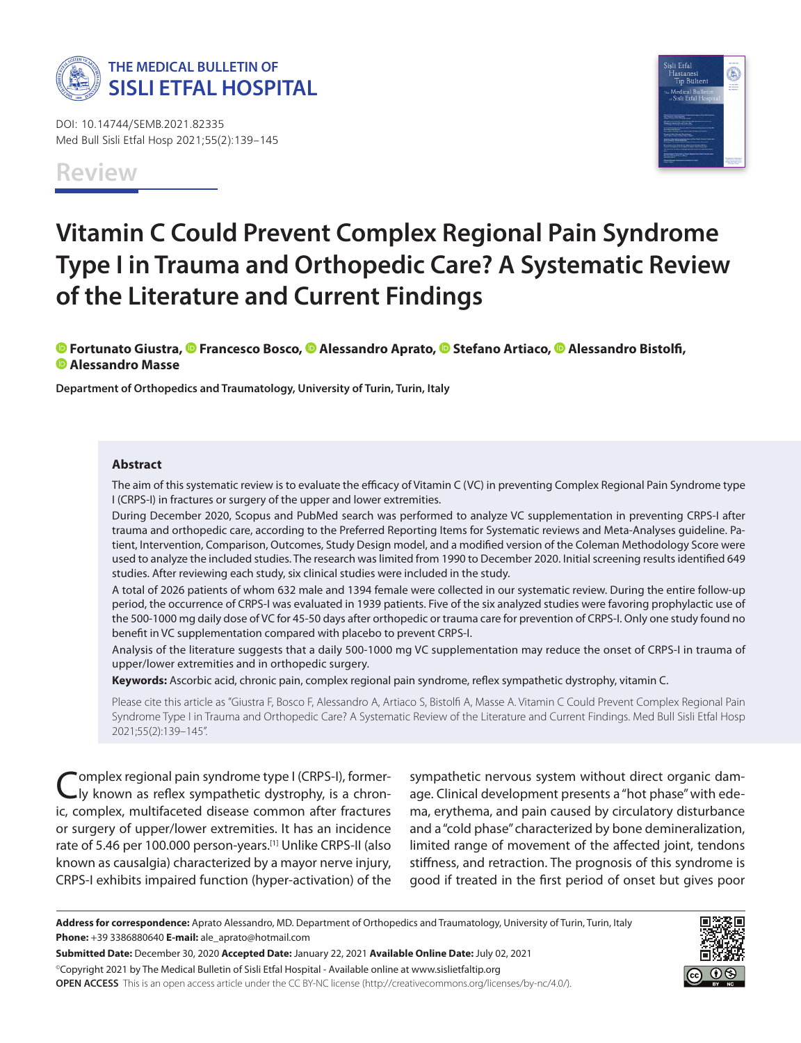

DOI: 10.14744/SEMB.2021.82335 Med Bull Sisli Etfal Hosp 2021;55(2):139–145

# **Vitamin C Could Prevent Complex Regional Pain Syndrome Type I in Trauma and Orthopedic Care? A Systematic Review of the Literature and Current Findings**

**© Fortunato Giustra, © Francesco Bosco, © Alessandro Aprato, © Stefano Artiaco, © Alessandro Bistolfi, Alessandro Masse**

**Department of Orthopedics and Traumatology, University of Turin, Turin, Italy**

#### **Abstract**

The aim of this systematic review is to evaluate the efficacy of Vitamin C (VC) in preventing Complex Regional Pain Syndrome type I (CRPS-I) in fractures or surgery of the upper and lower extremities.

During December 2020, Scopus and PubMed search was performed to analyze VC supplementation in preventing CRPS-I after trauma and orthopedic care, according to the Preferred Reporting Items for Systematic reviews and Meta-Analyses guideline. Patient, Intervention, Comparison, Outcomes, Study Design model, and a modified version of the Coleman Methodology Score were used to analyze the included studies. The research was limited from 1990 to December 2020. Initial screening results identified 649 studies. After reviewing each study, six clinical studies were included in the study.

A total of 2026 patients of whom 632 male and 1394 female were collected in our systematic review. During the entire follow-up period, the occurrence of CRPS-I was evaluated in 1939 patients. Five of the six analyzed studies were favoring prophylactic use of the 500-1000 mg daily dose of VC for 45-50 days after orthopedic or trauma care for prevention of CRPS-I. Only one study found no benefit in VC supplementation compared with placebo to prevent CRPS-I.

Analysis of the literature suggests that a daily 500-1000 mg VC supplementation may reduce the onset of CRPS-I in trauma of upper/lower extremities and in orthopedic surgery.

**Keywords:** Ascorbic acid, chronic pain, complex regional pain syndrome, reflex sympathetic dystrophy, vitamin C.

Please cite this article as "Giustra F, Bosco F, Alessandro A, Artiaco S, Bistolfi A, Masse A. Vitamin C Could Prevent Complex Regional Pain Syndrome Type I in Trauma and Orthopedic Care? A Systematic Review of the Literature and Current Findings. Med Bull Sisli Etfal Hosp 2021;55(2):139–145".

'omplex regional pain syndrome type I (CRPS-I), formerly known as reflex sympathetic dystrophy, is a chronic, complex, multifaceted disease common after fractures or surgery of upper/lower extremities. It has an incidence rate of 5.46 per 100.000 person-years.<sup>[1]</sup> Unlike CRPS-II (also known as causalgia) characterized by a mayor nerve injury, CRPS-I exhibits impaired function (hyper-activation) of the sympathetic nervous system without direct organic damage. Clinical development presents a "hot phase" with edema, erythema, and pain caused by circulatory disturbance and a "cold phase" characterized by bone demineralization, limited range of movement of the affected joint, tendons stiffness, and retraction. The prognosis of this syndrome is good if treated in the first period of onset but gives poor

**Submitted Date:** December 30, 2020 **Accepted Date:** January 22, 2021 **Available Online Date:** July 02, 2021 ©Copyright 2021 by The Medical Bulletin of Sisli Etfal Hospital - Available online at www.sislietfaltip.org **OPEN ACCESS** This is an open access article under the CC BY-NC license (http://creativecommons.org/licenses/by-nc/4.0/).



**Address for correspondence:** Aprato Alessandro, MD. Department of Orthopedics and Traumatology, University of Turin, Turin, Italy **Phone:** +39 3386880640 **E-mail:** ale\_aprato@hotmail.com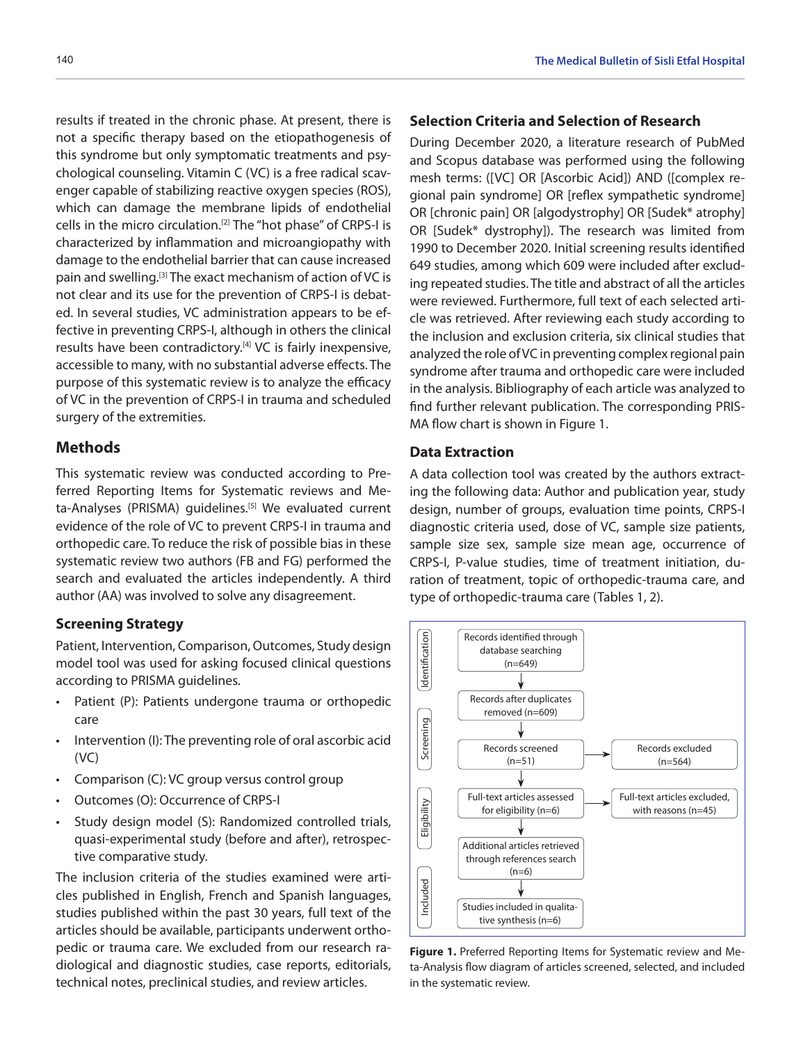results if treated in the chronic phase. At present, there is not a specific therapy based on the etiopathogenesis of this syndrome but only symptomatic treatments and psychological counseling. Vitamin C (VC) is a free radical scavenger capable of stabilizing reactive oxygen species (ROS), which can damage the membrane lipids of endothelial cells in the micro circulation.[2] The "hot phase" of CRPS-I is characterized by inflammation and microangiopathy with damage to the endothelial barrier that can cause increased pain and swelling.[3] The exact mechanism of action of VC is not clear and its use for the prevention of CRPS-I is debated. In several studies, VC administration appears to be effective in preventing CRPS-I, although in others the clinical results have been contradictory.<sup>[4]</sup> VC is fairly inexpensive, accessible to many, with no substantial adverse effects. The purpose of this systematic review is to analyze the efficacy of VC in the prevention of CRPS-I in trauma and scheduled surgery of the extremities.

#### **Methods**

This systematic review was conducted according to Preferred Reporting Items for Systematic reviews and Meta-Analyses (PRISMA) guidelines.<sup>[5]</sup> We evaluated current evidence of the role of VC to prevent CRPS-I in trauma and orthopedic care. To reduce the risk of possible bias in these systematic review two authors (FB and FG) performed the search and evaluated the articles independently. A third author (AA) was involved to solve any disagreement.

#### **Screening Strategy**

Patient, Intervention, Comparison, Outcomes, Study design model tool was used for asking focused clinical questions according to PRISMA guidelines.

- Patient (P): Patients undergone trauma or orthopedic care
- Intervention (I): The preventing role of oral ascorbic acid (VC)
- Comparison (C): VC group versus control group
- Outcomes (O): Occurrence of CRPS-I
- Study design model (S): Randomized controlled trials, quasi-experimental study (before and after), retrospective comparative study.

The inclusion criteria of the studies examined were articles published in English, French and Spanish languages, studies published within the past 30 years, full text of the articles should be available, participants underwent orthopedic or trauma care. We excluded from our research radiological and diagnostic studies, case reports, editorials, technical notes, preclinical studies, and review articles.

## **Selection Criteria and Selection of Research**

During December 2020, a literature research of PubMed and Scopus database was performed using the following mesh terms: ([VC] OR [Ascorbic Acid]) AND ([complex regional pain syndrome] OR [reflex sympathetic syndrome] OR [chronic pain] OR [algodystrophy] OR [Sudek\* atrophy] OR [Sudek\* dystrophy]). The research was limited from 1990 to December 2020. Initial screening results identified 649 studies, among which 609 were included after excluding repeated studies. The title and abstract of all the articles were reviewed. Furthermore, full text of each selected article was retrieved. After reviewing each study according to the inclusion and exclusion criteria, six clinical studies that analyzed the role of VC in preventing complex regional pain syndrome after trauma and orthopedic care were included in the analysis. Bibliography of each article was analyzed to find further relevant publication. The corresponding PRIS-MA flow chart is shown in Figure 1.

### **Data Extraction**

A data collection tool was created by the authors extracting the following data: Author and publication year, study design, number of groups, evaluation time points, CRPS-I diagnostic criteria used, dose of VC, sample size patients, sample size sex, sample size mean age, occurrence of CRPS-I, P-value studies, time of treatment initiation, duration of treatment, topic of orthopedic-trauma care, and type of orthopedic-trauma care (Tables 1, 2).



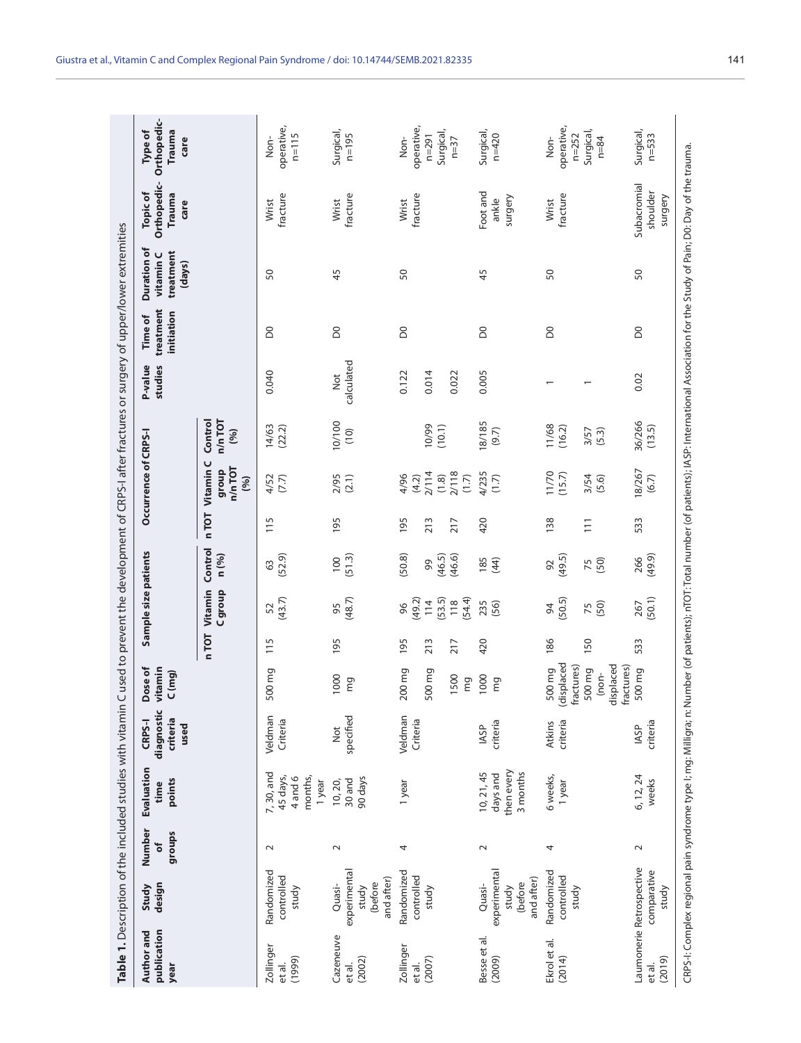| publication<br>Author and<br>year | design<br>Study                                          | Number<br>groups<br>ð | Evaluation<br>points<br>time                          | diagnostic<br>criteria<br>CRPS-I<br>used | Dose of<br><i>ritamin</i><br>C(mg)                                               |                   | Sample size patients                           |                                  |                        | Occurrence of CRPS-I                              |                                  | P-value<br>studies      | treatment<br>initiation<br><b>Time of</b> | Duration of<br>treatment<br>vitamin C<br>(days) | Orthopedic-<br><b>Topic of</b><br>Trauma<br>care | Orthopedic-<br>Type of<br><b>Trauma</b><br>care          |
|-----------------------------------|----------------------------------------------------------|-----------------------|-------------------------------------------------------|------------------------------------------|----------------------------------------------------------------------------------|-------------------|------------------------------------------------|----------------------------------|------------------------|---------------------------------------------------|----------------------------------|-------------------------|-------------------------------------------|-------------------------------------------------|--------------------------------------------------|----------------------------------------------------------|
|                                   |                                                          |                       |                                                       |                                          |                                                                                  | n TOT             | Vitamin<br>C group                             | Control<br>n (%)                 | nTOT                   | Vitamin C<br>$n/n$ TOT<br>dnoub<br>(96)           | Control<br>$n/n$ TOT<br>(%)      |                         |                                           |                                                 |                                                  |                                                          |
| Zollinger<br>(1999)<br>et al.     | Randomized<br>controlled<br>study                        | $\sim$                | 7,30, and<br>months,<br>45 days,<br>4 and 6<br>1 year | Veldman<br>Criteria                      | 500 mg                                                                           | 115               | (43.7)<br>52                                   | (52.9)<br>63                     | 115                    | 4/52<br>(7.7)                                     | 14/63<br>(22.2)                  | 0.040                   | S <sub>0</sub>                            | 50                                              | fracture<br>Wrist                                | operative,<br>$n = 115$<br>Non-                          |
| Cazeneuve<br>(2002)<br>et al.     | experimental<br>and after)<br>(before<br>Quasi-<br>study | $\sim$                | 90 days<br>30 and<br>10, 20,                          | specified<br>Not                         | 1000<br>mg                                                                       | 195               | (48.7)<br>95                                   | (51.3)<br>100                    | 195                    | 2/95<br>(2.1)                                     | 10/100<br>(10)                   | calculated<br>Not       | $\rm{S}$                                  | 45                                              | fracture<br>Wrist                                | Surgical,<br>$n = 195$                                   |
| Zollinger<br>(2007)<br>et al.     | Randomized<br>controlled<br>study                        | 4                     | 1 year                                                | Veldman<br>Criteria                      | 200 mg<br>500 mg<br>1500<br>mg                                                   | 195<br>213<br>217 | (53.5)<br>(54.4)<br>(49.2)<br>114<br>118<br>96 | (50.8)<br>(46.5)<br>(46.6)<br>99 | 195<br>213<br>217      | 2/114<br>2/118<br>4/96<br>(1.8)<br>(4.2)<br>(1.7) | 10/99<br>(10.1)                  | 0.014<br>0.122<br>0.022 | DO <sub>1</sub>                           | 50                                              | fracture<br>Wrist                                | operative,<br>Surgical,<br>$n = 291$<br>Non-<br>$n=37$   |
| Besse et al.<br>(2009)            | experimental<br>and after)<br>(before<br>Quasi-<br>study | $\sim$                | then every<br>3 months<br>10, 21, 45<br>days and      | criteria<br><b>IASP</b>                  | 1000<br>mg                                                                       | 420               | 235<br>(56)                                    | 185<br>(44)                      | 420                    | 4/235<br>(1.7)                                    | 18/185<br>(9.7)                  | 0.005                   | <b>DO</b>                                 | 45                                              | Foot and<br>surgery<br>ankle                     | Surgical,<br>$n = 420$                                   |
| Ekrol et al.<br>(2014)            | Randomized<br>controlled<br>study                        | 4                     | 6 weeks,<br>1 year                                    | criteria<br><b>Atkins</b>                | (displaced<br>displaced<br>fractures)<br>fractures)<br>500 mg<br>500 mg<br>(non- | 186<br>150        | (50.5)<br>(50)<br>94<br>75                     | (49.5)<br>(50)<br>92<br>75       | 138<br>$\overline{11}$ | (11/70)<br>3/54<br>(5.6)                          | 11/68<br>(16.2)<br>3/57<br>(5.3) |                         | <b>S</b>                                  | 50                                              | fracture<br>Wrist                                | operative,<br>Surgical,<br>$n = 252$<br>$n = 84$<br>Non- |
| (2019)<br>et al.                  | Laumonerie Retrospective<br>comparative<br>study         | $\sim$                | 6, 12, 24<br>weeks                                    | criteria<br><b>IASP</b>                  | 500 mg                                                                           | 533               | 267<br>(50.1)                                  | 266<br>(49.9)                    | 533                    | 18/267<br>(6.7)                                   | 36/266<br>(13.5)                 | 0.02                    | DO <sub>1</sub>                           | 50                                              | Subacromial<br>shoulder<br>surgery               | Surgical,<br>$n = 533$                                   |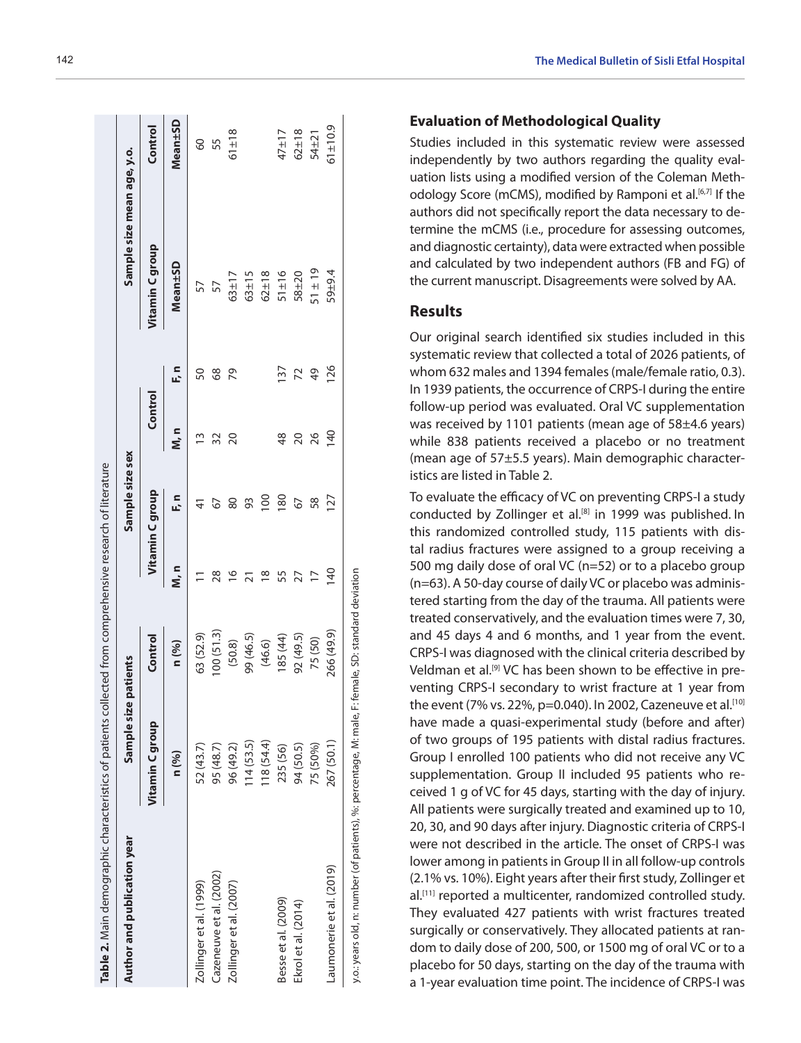| Author and publication year | Sample size patients |            |                 | Sample size sex |                |      | Sample size mean age, y.o. |             |
|-----------------------------|----------------------|------------|-----------------|-----------------|----------------|------|----------------------------|-------------|
|                             | Vitamin C group      | Control    |                 | Vitamin C group | Control        |      | Vitamin C group            | Control     |
|                             | n (%)                | n (%)      | M, n            | F, n            | n<br>M, n      | F, n | Mean±SD                    | Mean±SD     |
| Zollinger et al. (1999)     | 52 (43.7)            | 63 (52.9)  |                 |                 |                | 50   | 57                         | 8           |
| Cazeneuve et al. (2002)     | 95 (48.7)            | 00(51.3)   | 28              |                 |                | 89   |                            | 55          |
| Zollinger et al. (2007)     | 96 (49.2)            | (50.8)     |                 | 80              | 20             | 79   | $63 + 17$                  | $61 \pm 18$ |
|                             | 14(53.5)             | 99 (46.5)  |                 | 93              |                |      | $63 \pm 15$                |             |
|                             | 118 (54.4)           | (46.6)     | $\frac{8}{1}$   | $\overline{0}$  |                |      | $62 \pm 18$                |             |
| Besse et al. (2009)         | 235 (56)             | 185 (44)   | 55              | $\frac{80}{2}$  | 48             | 137  | $51 \pm 16$                | $47 + 17$   |
| Ekrol et al. (2014)         | 94 (50.5)            | 92 (49.5)  |                 |                 | $\overline{0}$ | 22   | 58±20                      | $62 \pm 18$ |
|                             | 75 (50%)             | 75 (50)    |                 | 58              | 26             | 49   | $51 \pm 19$                | $54 + 21$   |
| Laumonerie et al. (2019)    | 267 (50.1)           | 266 (49.9) | $\overline{40}$ | 27              | 140            | 126  | $59 + 9.4$                 | $51 + 10.9$ |

## **Evaluation of Methodological Quality**

Studies included in this systematic review were assessed independently by two authors regarding the quality eval uation lists using a modified version of the Coleman Meth odology Score (mCMS), modified by Ramponi et al.<sup>[6,7]</sup> If the authors did not specifically report the data necessary to de termine the mCMS (i.e., procedure for assessing outcomes, and diagnostic certainty), data were extracted when possible and calculated by two independent authors (FB and FG) of the current manuscript. Disagreements were solved by AA.

# **Results**

Our original search identified six studies included in this systematic review that collected a total of 2026 patients, of whom 632 males and 1394 females (male/female ratio, 0.3). In 1939 patients, the occurrence of CRPS-I during the entire follow-up period was evaluated. Oral VC supplementation was received by 1101 patients (mean age of 58±4.6 years) while 838 patients received a placebo or no treatment (mean age of 57±5.5 years). Main demographic character istics are listed in Table 2.

To evaluate the efficacy of VC on preventing CRPS-I a study conducted by Zollinger et al.<sup>[8]</sup> in 1999 was published. In this randomized controlled study, 115 patients with dis tal radius fractures were assigned to a group receiving a 500 mg daily dose of oral VC (n=52) or to a placebo group (n=63). A 50-day course of daily VC or placebo was adminis tered starting from the day of the trauma. All patients were treated conservatively, and the evaluation times were 7, 30, and 45 days 4 and 6 months, and 1 year from the event. CRPS-I was diagnosed with the clinical criteria described by Veldman et al.<sup>[9]</sup> VC has been shown to be effective in preventing CRPS-I secondary to wrist fracture at 1 year from the event (7% vs. 22%, p=0.040). In 2002, Cazeneuve et al.<sup>[10]</sup> have made a quasi-experimental study (before and after) of two groups of 195 patients with distal radius fractures. Group I enrolled 100 patients who did not receive any VC supplementation. Group II included 95 patients who re ceived 1 g of VC for 45 days, starting with the day of injury. All patients were surgically treated and examined up to 10, 20, 30, and 90 days after injury. Diagnostic criteria of CRPS-I were not described in the article. The onset of CRPS-I was lower among in patients in Group II in all follow-up controls (2.1% vs. 10%). Eight years after their first study, Zollinger et al.<sup>[11]</sup> reported a multicenter, randomized controlled study. They evaluated 427 patients with wrist fractures treated surgically or conservatively. They allocated patients at ran dom to daily dose of 200, 500, or 1500 mg of oral VC or to a placebo for 50 days, starting on the day of the trauma with a 1-year evaluation time point. The incidence of CRPS-I was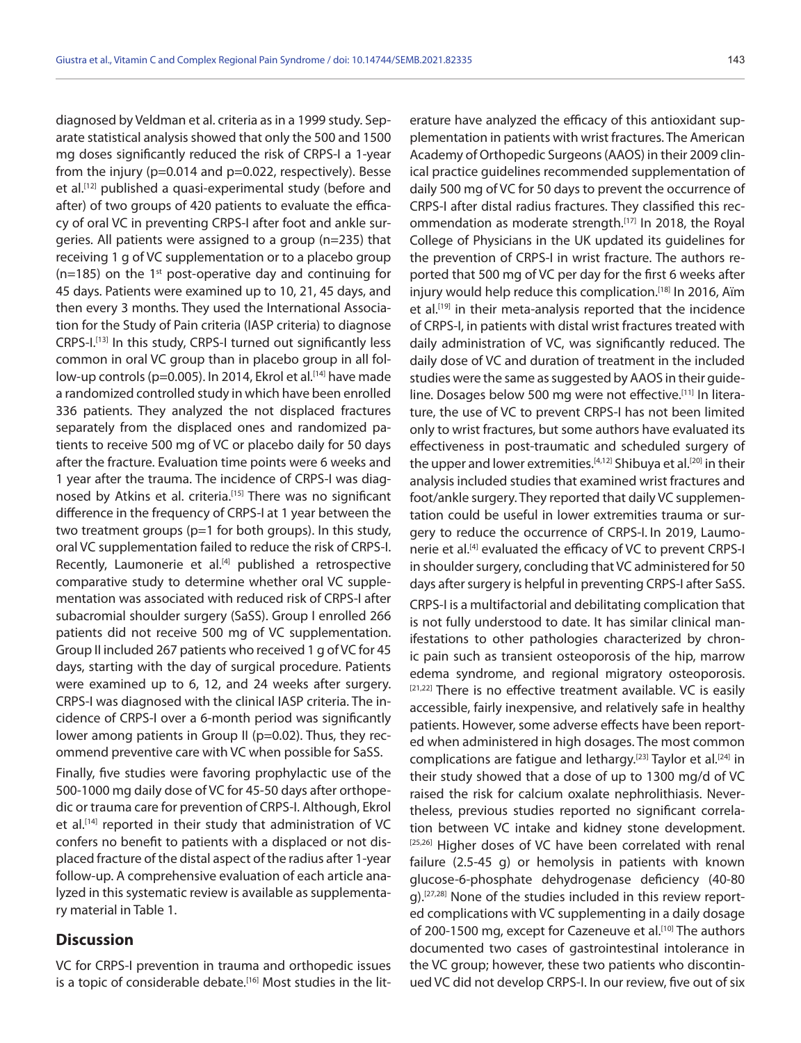diagnosed by Veldman et al. criteria as in a 1999 study. Separate statistical analysis showed that only the 500 and 1500 mg doses significantly reduced the risk of CRPS-I a 1-year from the injury (p=0.014 and p=0.022, respectively). Besse et al.<sup>[12]</sup> published a quasi-experimental study (before and after) of two groups of 420 patients to evaluate the efficacy of oral VC in preventing CRPS-I after foot and ankle surgeries. All patients were assigned to a group (n=235) that receiving 1 g of VC supplementation or to a placebo group  $(n=185)$  on the 1<sup>st</sup> post-operative day and continuing for 45 days. Patients were examined up to 10, 21, 45 days, and then every 3 months. They used the International Association for the Study of Pain criteria (IASP criteria) to diagnose CRPS-I.[13] In this study, CRPS-I turned out significantly less common in oral VC group than in placebo group in all follow-up controls (p=0.005). In 2014, Ekrol et al.<sup>[14]</sup> have made a randomized controlled study in which have been enrolled 336 patients. They analyzed the not displaced fractures separately from the displaced ones and randomized patients to receive 500 mg of VC or placebo daily for 50 days after the fracture. Evaluation time points were 6 weeks and 1 year after the trauma. The incidence of CRPS-I was diagnosed by Atkins et al. criteria.<sup>[15]</sup> There was no significant difference in the frequency of CRPS-I at 1 year between the two treatment groups (p=1 for both groups). In this study, oral VC supplementation failed to reduce the risk of CRPS-I. Recently, Laumonerie et al.<sup>[4]</sup> published a retrospective comparative study to determine whether oral VC supplementation was associated with reduced risk of CRPS-I after subacromial shoulder surgery (SaSS). Group I enrolled 266 patients did not receive 500 mg of VC supplementation. Group II included 267 patients who received 1 g of VC for 45 days, starting with the day of surgical procedure. Patients were examined up to 6, 12, and 24 weeks after surgery. CRPS-I was diagnosed with the clinical IASP criteria. The incidence of CRPS-I over a 6-month period was significantly lower among patients in Group II (p=0.02). Thus, they recommend preventive care with VC when possible for SaSS.

Finally, five studies were favoring prophylactic use of the 500-1000 mg daily dose of VC for 45-50 days after orthopedic or trauma care for prevention of CRPS-I. Although, Ekrol et al.<sup>[14]</sup> reported in their study that administration of VC confers no benefit to patients with a displaced or not displaced fracture of the distal aspect of the radius after 1-year follow-up. A comprehensive evaluation of each article analyzed in this systematic review is available as supplementary material in Table 1.

# **Discussion**

VC for CRPS-I prevention in trauma and orthopedic issues is a topic of considerable debate.<sup>[16]</sup> Most studies in the lit-

erature have analyzed the efficacy of this antioxidant supplementation in patients with wrist fractures. The American Academy of Orthopedic Surgeons (AAOS) in their 2009 clinical practice guidelines recommended supplementation of daily 500 mg of VC for 50 days to prevent the occurrence of CRPS-I after distal radius fractures. They classified this recommendation as moderate strength.<sup>[17]</sup> In 2018, the Royal College of Physicians in the UK updated its guidelines for the prevention of CRPS-I in wrist fracture. The authors reported that 500 mg of VC per day for the first 6 weeks after injury would help reduce this complication.[18] In 2016, Aïm et al.<sup>[19]</sup> in their meta-analysis reported that the incidence of CRPS-I, in patients with distal wrist fractures treated with daily administration of VC, was significantly reduced. The daily dose of VC and duration of treatment in the included studies were the same as suggested by AAOS in their guideline. Dosages below 500 mg were not effective.<sup>[11]</sup> In literature, the use of VC to prevent CRPS-I has not been limited only to wrist fractures, but some authors have evaluated its effectiveness in post-traumatic and scheduled surgery of the upper and lower extremities.<sup>[4,12]</sup> Shibuya et al.<sup>[20]</sup> in their analysis included studies that examined wrist fractures and foot/ankle surgery. They reported that daily VC supplementation could be useful in lower extremities trauma or surgery to reduce the occurrence of CRPS-I. In 2019, Laumonerie et al.<sup>[4]</sup> evaluated the efficacy of VC to prevent CRPS-I in shoulder surgery, concluding that VC administered for 50 days after surgery is helpful in preventing CRPS-I after SaSS. CRPS-I is a multifactorial and debilitating complication that is not fully understood to date. It has similar clinical manifestations to other pathologies characterized by chronic pain such as transient osteoporosis of the hip, marrow edema syndrome, and regional migratory osteoporosis. [21,22] There is no effective treatment available. VC is easily accessible, fairly inexpensive, and relatively safe in healthy patients. However, some adverse effects have been reported when administered in high dosages. The most common complications are fatigue and lethargy.<sup>[23]</sup> Taylor et al.<sup>[24]</sup> in their study showed that a dose of up to 1300 mg/d of VC raised the risk for calcium oxalate nephrolithiasis. Nevertheless, previous studies reported no significant correlation between VC intake and kidney stone development. [25,26] Higher doses of VC have been correlated with renal failure (2.5-45 g) or hemolysis in patients with known glucose-6-phosphate dehydrogenase deficiency (40-80 g).[27,28] None of the studies included in this review reported complications with VC supplementing in a daily dosage of 200-1500 mg, except for Cazeneuve et al.<sup>[10]</sup> The authors documented two cases of gastrointestinal intolerance in the VC group; however, these two patients who discontinued VC did not develop CRPS-I. In our review, five out of six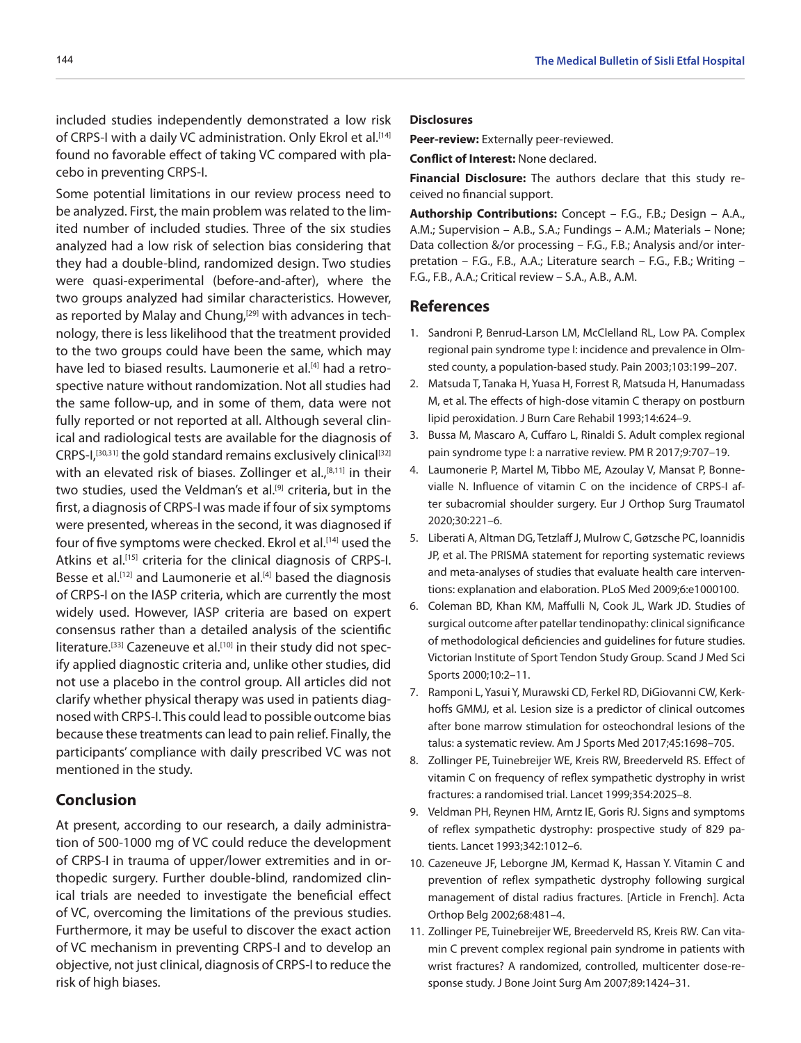included studies independently demonstrated a low risk of CRPS-I with a daily VC administration. Only Ekrol et al.<sup>[14]</sup> found no favorable effect of taking VC compared with placebo in preventing CRPS-I.

Some potential limitations in our review process need to be analyzed. First, the main problem was related to the limited number of included studies. Three of the six studies analyzed had a low risk of selection bias considering that they had a double-blind, randomized design. Two studies were quasi-experimental (before-and-after), where the two groups analyzed had similar characteristics. However, as reported by Malay and Chung,<sup>[29]</sup> with advances in technology, there is less likelihood that the treatment provided to the two groups could have been the same, which may have led to biased results. Laumonerie et al.<sup>[4]</sup> had a retrospective nature without randomization. Not all studies had the same follow-up, and in some of them, data were not fully reported or not reported at all. Although several clinical and radiological tests are available for the diagnosis of CRPS-I,<sup>[30,31]</sup> the gold standard remains exclusively clinical<sup>[32]</sup> with an elevated risk of biases. Zollinger et al.,<sup>[8,11]</sup> in their two studies, used the Veldman's et al.<sup>[9]</sup> criteria, but in the first, a diagnosis of CRPS-I was made if four of six symptoms were presented, whereas in the second, it was diagnosed if four of five symptoms were checked. Ekrol et al.<sup>[14]</sup> used the Atkins et al.<sup>[15]</sup> criteria for the clinical diagnosis of CRPS-I. Besse et al.<sup>[12]</sup> and Laumonerie et al.<sup>[4]</sup> based the diagnosis of CRPS-I on the IASP criteria, which are currently the most widely used. However, IASP criteria are based on expert consensus rather than a detailed analysis of the scientific literature.<sup>[33]</sup> Cazeneuve et al.<sup>[10]</sup> in their study did not specify applied diagnostic criteria and, unlike other studies, did not use a placebo in the control group. All articles did not clarify whether physical therapy was used in patients diagnosed with CRPS-I. This could lead to possible outcome bias because these treatments can lead to pain relief. Finally, the participants' compliance with daily prescribed VC was not mentioned in the study.

# **Conclusion**

At present, according to our research, a daily administration of 500-1000 mg of VC could reduce the development of CRPS-I in trauma of upper/lower extremities and in orthopedic surgery. Further double-blind, randomized clinical trials are needed to investigate the beneficial effect of VC, overcoming the limitations of the previous studies. Furthermore, it may be useful to discover the exact action of VC mechanism in preventing CRPS-I and to develop an objective, not just clinical, diagnosis of CRPS-I to reduce the risk of high biases.

#### **Disclosures**

**Peer-review:** Externally peer-reviewed.

**Conflict of Interest:** None declared.

**Financial Disclosure:** The authors declare that this study received no financial support.

**Authorship Contributions:** Concept – F.G., F.B.; Design – A.A., A.M.; Supervision – A.B., S.A.; Fundings – A.M.; Materials – None; Data collection &/or processing – F.G., F.B.; Analysis and/or interpretation – F.G., F.B., A.A.; Literature search – F.G., F.B.; Writing – F.G., F.B., A.A.; Critical review – S.A., A.B., A.M.

# **References**

- 1. Sandroni P, Benrud-Larson LM, McClelland RL, Low PA. Complex regional pain syndrome type I: incidence and prevalence in Olmsted county, a population-based study. Pain 2003;103:199–207.
- 2. Matsuda T, Tanaka H, Yuasa H, Forrest R, Matsuda H, Hanumadass M, et al. The effects of high-dose vitamin C therapy on postburn lipid peroxidation. J Burn Care Rehabil 1993;14:624–9.
- 3. Bussa M, Mascaro A, Cuffaro L, Rinaldi S. Adult complex regional pain syndrome type I: a narrative review. PM R 2017;9:707–19.
- 4. Laumonerie P, Martel M, Tibbo ME, Azoulay V, Mansat P, Bonnevialle N. Influence of vitamin C on the incidence of CRPS-I after subacromial shoulder surgery. Eur J Orthop Surg Traumatol 2020;30:221–6.
- 5. Liberati A, Altman DG, Tetzlaff J, Mulrow C, Gøtzsche PC, Ioannidis JP, et al. The PRISMA statement for reporting systematic reviews and meta-analyses of studies that evaluate health care interventions: explanation and elaboration. PLoS Med 2009;6:e1000100.
- 6. Coleman BD, Khan KM, Maffulli N, Cook JL, Wark JD. Studies of surgical outcome after patellar tendinopathy: clinical significance of methodological deficiencies and guidelines for future studies. Victorian Institute of Sport Tendon Study Group. Scand J Med Sci Sports 2000;10:2–11.
- 7. Ramponi L, Yasui Y, Murawski CD, Ferkel RD, DiGiovanni CW, Kerkhoffs GMMJ, et al. Lesion size is a predictor of clinical outcomes after bone marrow stimulation for osteochondral lesions of the talus: a systematic review. Am J Sports Med 2017;45:1698–705.
- 8. Zollinger PE, Tuinebreijer WE, Kreis RW, Breederveld RS. Effect of vitamin C on frequency of reflex sympathetic dystrophy in wrist fractures: a randomised trial. Lancet 1999;354:2025–8.
- 9. Veldman PH, Reynen HM, Arntz IE, Goris RJ. Signs and symptoms of reflex sympathetic dystrophy: prospective study of 829 patients. Lancet 1993;342:1012–6.
- 10. Cazeneuve JF, Leborgne JM, Kermad K, Hassan Y. Vitamin C and prevention of reflex sympathetic dystrophy following surgical management of distal radius fractures. [Article in French]. Acta Orthop Belg 2002;68:481–4.
- 11. Zollinger PE, Tuinebreijer WE, Breederveld RS, Kreis RW. Can vitamin C prevent complex regional pain syndrome in patients with wrist fractures? A randomized, controlled, multicenter dose-response study. J Bone Joint Surg Am 2007;89:1424–31.